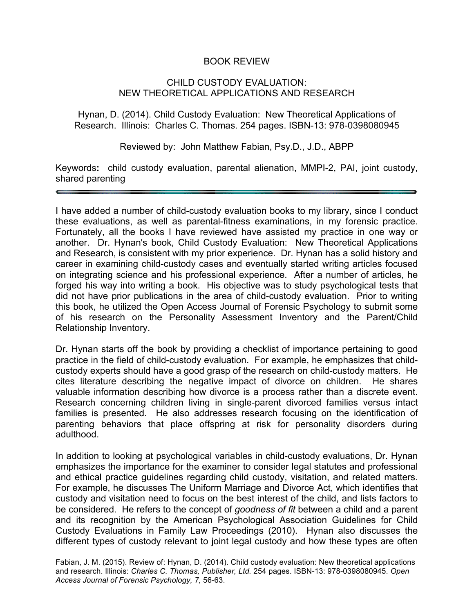## BOOK REVIEW

## CHILD CUSTODY EVALUATION: NEW THEORETICAL APPLICATIONS AND RESEARCH

Hynan, D. (2014). Child Custody Evaluation: New Theoretical Applications of Research. Illinois: Charles C. Thomas. 254 pages. ISBN-13: 978-0398080945

Reviewed by: John Matthew Fabian, Psy.D., J.D., ABPP

Keywords**:** child custody evaluation, parental alienation, MMPI-2, PAI, joint custody, shared parenting

I have added a number of child-custody evaluation books to my library, since I conduct these evaluations, as well as parental-fitness examinations, in my forensic practice. Fortunately, all the books I have reviewed have assisted my practice in one way or another. Dr. Hynan's book, Child Custody Evaluation: New Theoretical Applications and Research, is consistent with my prior experience. Dr. Hynan has a solid history and career in examining child-custody cases and eventually started writing articles focused on integrating science and his professional experience. After a number of articles, he forged his way into writing a book. His objective was to study psychological tests that did not have prior publications in the area of child-custody evaluation. Prior to writing this book, he utilized the Open Access Journal of Forensic Psychology to submit some of his research on the Personality Assessment Inventory and the Parent/Child Relationship Inventory.

Dr. Hynan starts off the book by providing a checklist of importance pertaining to good practice in the field of child-custody evaluation. For example, he emphasizes that childcustody experts should have a good grasp of the research on child-custody matters. He cites literature describing the negative impact of divorce on children. He shares valuable information describing how divorce is a process rather than a discrete event. Research concerning children living in single-parent divorced families versus intact families is presented. He also addresses research focusing on the identification of parenting behaviors that place offspring at risk for personality disorders during adulthood.

In addition to looking at psychological variables in child-custody evaluations, Dr. Hynan emphasizes the importance for the examiner to consider legal statutes and professional and ethical practice guidelines regarding child custody, visitation, and related matters. For example, he discusses The Uniform Marriage and Divorce Act, which identifies that custody and visitation need to focus on the best interest of the child, and lists factors to be considered. He refers to the concept of *goodness of fit* between a child and a parent and its recognition by the American Psychological Association Guidelines for Child Custody Evaluations in Family Law Proceedings (2010). Hynan also discusses the different types of custody relevant to joint legal custody and how these types are often

Fabian, J. M. (2015). Review of: Hynan, D. (2014). Child custody evaluation: New theoretical applications and research. Illinois: *Charles C. Thomas, Publisher, Ltd.* 254 pages. ISBN-13: 978-0398080945. *Open Access Journal of Forensic Psychology, 7,* 56-63.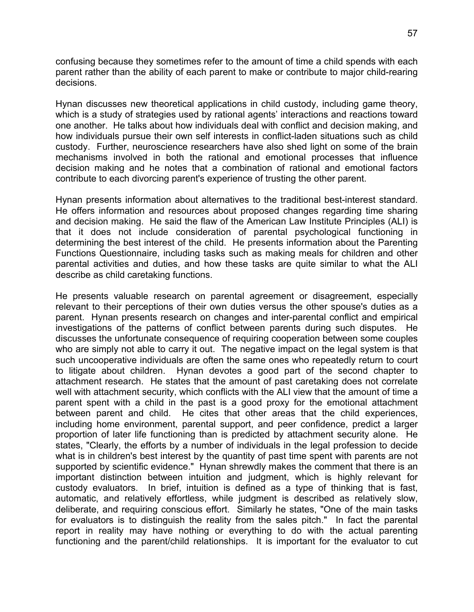confusing because they sometimes refer to the amount of time a child spends with each parent rather than the ability of each parent to make or contribute to major child-rearing decisions.

Hynan discusses new theoretical applications in child custody, including game theory, which is a study of strategies used by rational agents' interactions and reactions toward one another. He talks about how individuals deal with conflict and decision making, and how individuals pursue their own self interests in conflict-laden situations such as child custody. Further, neuroscience researchers have also shed light on some of the brain mechanisms involved in both the rational and emotional processes that influence decision making and he notes that a combination of rational and emotional factors contribute to each divorcing parent's experience of trusting the other parent.

Hynan presents information about alternatives to the traditional best-interest standard. He offers information and resources about proposed changes regarding time sharing and decision making. He said the flaw of the American Law Institute Principles (ALI) is that it does not include consideration of parental psychological functioning in determining the best interest of the child. He presents information about the Parenting Functions Questionnaire, including tasks such as making meals for children and other parental activities and duties, and how these tasks are quite similar to what the ALI describe as child caretaking functions.

He presents valuable research on parental agreement or disagreement, especially relevant to their perceptions of their own duties versus the other spouse's duties as a parent. Hynan presents research on changes and inter-parental conflict and empirical investigations of the patterns of conflict between parents during such disputes. He discusses the unfortunate consequence of requiring cooperation between some couples who are simply not able to carry it out. The negative impact on the legal system is that such uncooperative individuals are often the same ones who repeatedly return to court to litigate about children. Hynan devotes a good part of the second chapter to attachment research. He states that the amount of past caretaking does not correlate well with attachment security, which conflicts with the ALI view that the amount of time a parent spent with a child in the past is a good proxy for the emotional attachment between parent and child. He cites that other areas that the child experiences, including home environment, parental support, and peer confidence, predict a larger proportion of later life functioning than is predicted by attachment security alone. He states, "Clearly, the efforts by a number of individuals in the legal profession to decide what is in children's best interest by the quantity of past time spent with parents are not supported by scientific evidence." Hynan shrewdly makes the comment that there is an important distinction between intuition and judgment, which is highly relevant for custody evaluators. In brief, intuition is defined as a type of thinking that is fast, automatic, and relatively effortless, while judgment is described as relatively slow, deliberate, and requiring conscious effort. Similarly he states, "One of the main tasks for evaluators is to distinguish the reality from the sales pitch." In fact the parental report in reality may have nothing or everything to do with the actual parenting functioning and the parent/child relationships. It is important for the evaluator to cut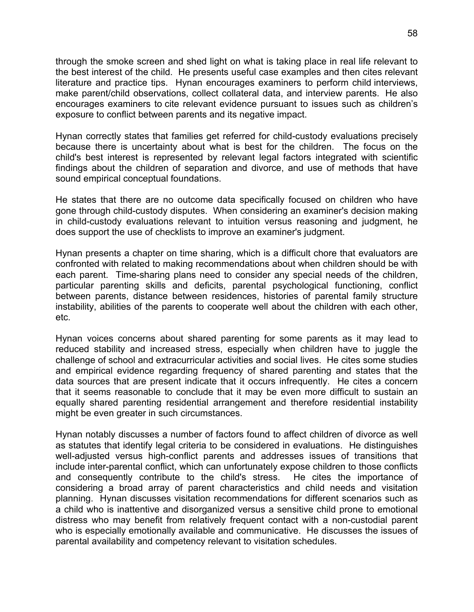through the smoke screen and shed light on what is taking place in real life relevant to the best interest of the child. He presents useful case examples and then cites relevant literature and practice tips. Hynan encourages examiners to perform child interviews, make parent/child observations, collect collateral data, and interview parents. He also encourages examiners to cite relevant evidence pursuant to issues such as children's exposure to conflict between parents and its negative impact.

Hynan correctly states that families get referred for child-custody evaluations precisely because there is uncertainty about what is best for the children. The focus on the child's best interest is represented by relevant legal factors integrated with scientific findings about the children of separation and divorce, and use of methods that have sound empirical conceptual foundations.

He states that there are no outcome data specifically focused on children who have gone through child-custody disputes. When considering an examiner's decision making in child-custody evaluations relevant to intuition versus reasoning and judgment, he does support the use of checklists to improve an examiner's judgment.

Hynan presents a chapter on time sharing, which is a difficult chore that evaluators are confronted with related to making recommendations about when children should be with each parent. Time-sharing plans need to consider any special needs of the children, particular parenting skills and deficits, parental psychological functioning, conflict between parents, distance between residences, histories of parental family structure instability, abilities of the parents to cooperate well about the children with each other, etc.

Hynan voices concerns about shared parenting for some parents as it may lead to reduced stability and increased stress, especially when children have to juggle the challenge of school and extracurricular activities and social lives. He cites some studies and empirical evidence regarding frequency of shared parenting and states that the data sources that are present indicate that it occurs infrequently. He cites a concern that it seems reasonable to conclude that it may be even more difficult to sustain an equally shared parenting residential arrangement and therefore residential instability might be even greater in such circumstances.

Hynan notably discusses a number of factors found to affect children of divorce as well as statutes that identify legal criteria to be considered in evaluations. He distinguishes well-adjusted versus high-conflict parents and addresses issues of transitions that include inter-parental conflict, which can unfortunately expose children to those conflicts and consequently contribute to the child's stress. He cites the importance of considering a broad array of parent characteristics and child needs and visitation planning. Hynan discusses visitation recommendations for different scenarios such as a child who is inattentive and disorganized versus a sensitive child prone to emotional distress who may benefit from relatively frequent contact with a non-custodial parent who is especially emotionally available and communicative. He discusses the issues of parental availability and competency relevant to visitation schedules.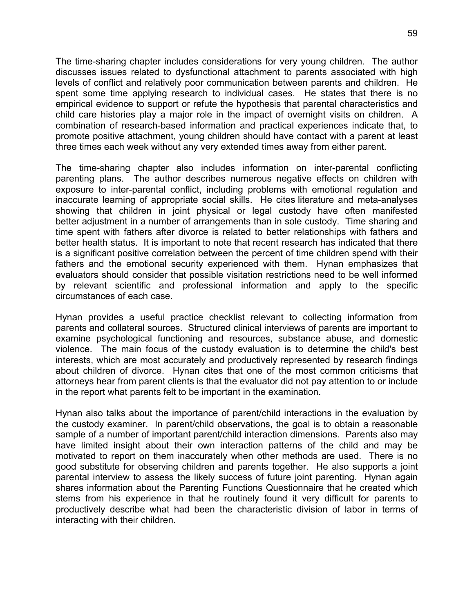The time-sharing chapter includes considerations for very young children. The author discusses issues related to dysfunctional attachment to parents associated with high levels of conflict and relatively poor communication between parents and children. He spent some time applying research to individual cases. He states that there is no empirical evidence to support or refute the hypothesis that parental characteristics and child care histories play a major role in the impact of overnight visits on children. A combination of research-based information and practical experiences indicate that, to promote positive attachment, young children should have contact with a parent at least three times each week without any very extended times away from either parent.

The time-sharing chapter also includes information on inter-parental conflicting parenting plans. The author describes numerous negative effects on children with exposure to inter-parental conflict, including problems with emotional regulation and inaccurate learning of appropriate social skills. He cites literature and meta-analyses showing that children in joint physical or legal custody have often manifested better adjustment in a number of arrangements than in sole custody. Time sharing and time spent with fathers after divorce is related to better relationships with fathers and better health status. It is important to note that recent research has indicated that there is a significant positive correlation between the percent of time children spend with their fathers and the emotional security experienced with them. Hynan emphasizes that evaluators should consider that possible visitation restrictions need to be well informed by relevant scientific and professional information and apply to the specific circumstances of each case.

Hynan provides a useful practice checklist relevant to collecting information from parents and collateral sources. Structured clinical interviews of parents are important to examine psychological functioning and resources, substance abuse, and domestic violence. The main focus of the custody evaluation is to determine the child's best interests, which are most accurately and productively represented by research findings about children of divorce. Hynan cites that one of the most common criticisms that attorneys hear from parent clients is that the evaluator did not pay attention to or include in the report what parents felt to be important in the examination.

Hynan also talks about the importance of parent/child interactions in the evaluation by the custody examiner. In parent/child observations, the goal is to obtain a reasonable sample of a number of important parent/child interaction dimensions. Parents also may have limited insight about their own interaction patterns of the child and may be motivated to report on them inaccurately when other methods are used. There is no good substitute for observing children and parents together. He also supports a joint parental interview to assess the likely success of future joint parenting. Hynan again shares information about the Parenting Functions Questionnaire that he created which stems from his experience in that he routinely found it very difficult for parents to productively describe what had been the characteristic division of labor in terms of interacting with their children.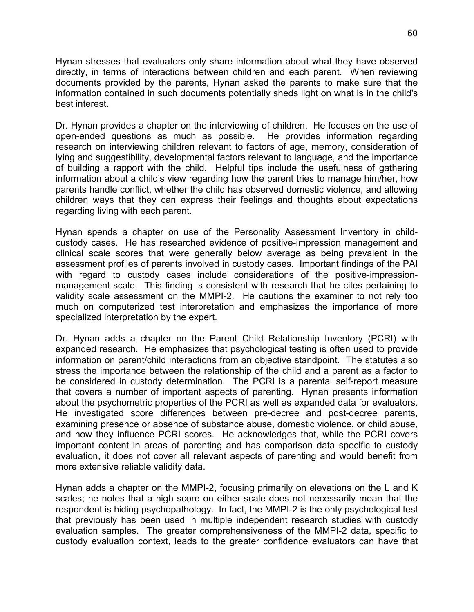Hynan stresses that evaluators only share information about what they have observed directly, in terms of interactions between children and each parent. When reviewing documents provided by the parents, Hynan asked the parents to make sure that the information contained in such documents potentially sheds light on what is in the child's best interest.

Dr. Hynan provides a chapter on the interviewing of children. He focuses on the use of open-ended questions as much as possible. He provides information regarding research on interviewing children relevant to factors of age, memory, consideration of lying and suggestibility, developmental factors relevant to language, and the importance of building a rapport with the child. Helpful tips include the usefulness of gathering information about a child's view regarding how the parent tries to manage him/her, how parents handle conflict, whether the child has observed domestic violence, and allowing children ways that they can express their feelings and thoughts about expectations regarding living with each parent.

Hynan spends a chapter on use of the Personality Assessment Inventory in childcustody cases. He has researched evidence of positive-impression management and clinical scale scores that were generally below average as being prevalent in the assessment profiles of parents involved in custody cases. Important findings of the PAI with regard to custody cases include considerations of the positive-impressionmanagement scale. This finding is consistent with research that he cites pertaining to validity scale assessment on the MMPI-2. He cautions the examiner to not rely too much on computerized test interpretation and emphasizes the importance of more specialized interpretation by the expert.

Dr. Hynan adds a chapter on the Parent Child Relationship Inventory (PCRI) with expanded research. He emphasizes that psychological testing is often used to provide information on parent/child interactions from an objective standpoint. The statutes also stress the importance between the relationship of the child and a parent as a factor to be considered in custody determination. The PCRI is a parental self-report measure that covers a number of important aspects of parenting. Hynan presents information about the psychometric properties of the PCRI as well as expanded data for evaluators. He investigated score differences between pre-decree and post-decree parents, examining presence or absence of substance abuse, domestic violence, or child abuse, and how they influence PCRI scores. He acknowledges that, while the PCRI covers important content in areas of parenting and has comparison data specific to custody evaluation, it does not cover all relevant aspects of parenting and would benefit from more extensive reliable validity data.

Hynan adds a chapter on the MMPI-2, focusing primarily on elevations on the L and K scales; he notes that a high score on either scale does not necessarily mean that the respondent is hiding psychopathology. In fact, the MMPI-2 is the only psychological test that previously has been used in multiple independent research studies with custody evaluation samples. The greater comprehensiveness of the MMPI-2 data, specific to custody evaluation context, leads to the greater confidence evaluators can have that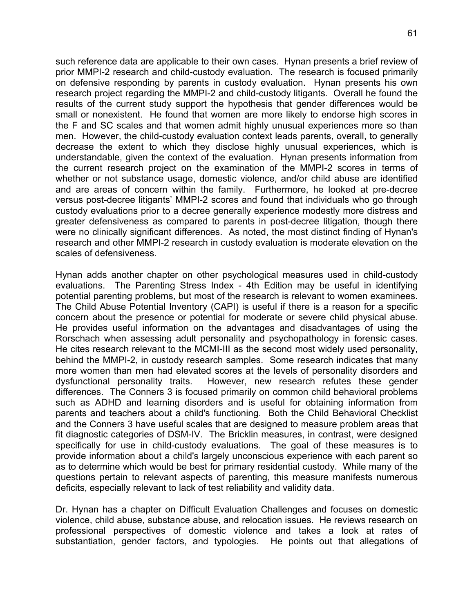such reference data are applicable to their own cases. Hynan presents a brief review of prior MMPI-2 research and child-custody evaluation. The research is focused primarily on defensive responding by parents in custody evaluation. Hynan presents his own research project regarding the MMPI-2 and child-custody litigants. Overall he found the results of the current study support the hypothesis that gender differences would be small or nonexistent. He found that women are more likely to endorse high scores in the F and SC scales and that women admit highly unusual experiences more so than men. However, the child-custody evaluation context leads parents, overall, to generally decrease the extent to which they disclose highly unusual experiences, which is understandable, given the context of the evaluation. Hynan presents information from the current research project on the examination of the MMPI-2 scores in terms of whether or not substance usage, domestic violence, and/or child abuse are identified and are areas of concern within the family. Furthermore, he looked at pre-decree versus post-decree litigants' MMPI-2 scores and found that individuals who go through custody evaluations prior to a decree generally experience modestly more distress and greater defensiveness as compared to parents in post-decree litigation, though there were no clinically significant differences. As noted, the most distinct finding of Hynan's research and other MMPI-2 research in custody evaluation is moderate elevation on the scales of defensiveness.

Hynan adds another chapter on other psychological measures used in child-custody evaluations. The Parenting Stress Index - 4th Edition may be useful in identifying potential parenting problems, but most of the research is relevant to women examinees. The Child Abuse Potential Inventory (CAPI) is useful if there is a reason for a specific concern about the presence or potential for moderate or severe child physical abuse. He provides useful information on the advantages and disadvantages of using the Rorschach when assessing adult personality and psychopathology in forensic cases. He cites research relevant to the MCMI-III as the second most widely used personality, behind the MMPI-2, in custody research samples. Some research indicates that many more women than men had elevated scores at the levels of personality disorders and dysfunctional personality traits. However, new research refutes these gender differences. The Conners 3 is focused primarily on common child behavioral problems such as ADHD and learning disorders and is useful for obtaining information from parents and teachers about a child's functioning. Both the Child Behavioral Checklist and the Conners 3 have useful scales that are designed to measure problem areas that fit diagnostic categories of DSM-IV. The Bricklin measures, in contrast, were designed specifically for use in child-custody evaluations. The goal of these measures is to provide information about a child's largely unconscious experience with each parent so as to determine which would be best for primary residential custody. While many of the questions pertain to relevant aspects of parenting, this measure manifests numerous deficits, especially relevant to lack of test reliability and validity data.

Dr. Hynan has a chapter on Difficult Evaluation Challenges and focuses on domestic violence, child abuse, substance abuse, and relocation issues. He reviews research on professional perspectives of domestic violence and takes a look at rates of substantiation, gender factors, and typologies. He points out that allegations of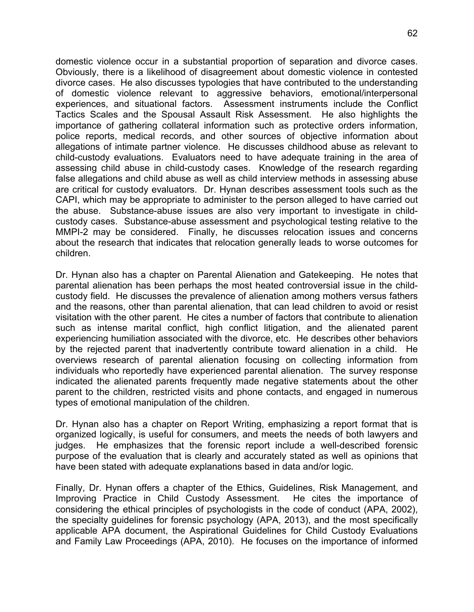domestic violence occur in a substantial proportion of separation and divorce cases. Obviously, there is a likelihood of disagreement about domestic violence in contested divorce cases. He also discusses typologies that have contributed to the understanding of domestic violence relevant to aggressive behaviors, emotional/interpersonal experiences, and situational factors. Assessment instruments include the Conflict Tactics Scales and the Spousal Assault Risk Assessment. He also highlights the importance of gathering collateral information such as protective orders information, police reports, medical records, and other sources of objective information about allegations of intimate partner violence. He discusses childhood abuse as relevant to child-custody evaluations. Evaluators need to have adequate training in the area of assessing child abuse in child-custody cases. Knowledge of the research regarding false allegations and child abuse as well as child interview methods in assessing abuse are critical for custody evaluators. Dr. Hynan describes assessment tools such as the CAPI, which may be appropriate to administer to the person alleged to have carried out the abuse. Substance-abuse issues are also very important to investigate in childcustody cases. Substance-abuse assessment and psychological testing relative to the MMPI-2 may be considered. Finally, he discusses relocation issues and concerns about the research that indicates that relocation generally leads to worse outcomes for children.

Dr. Hynan also has a chapter on Parental Alienation and Gatekeeping. He notes that parental alienation has been perhaps the most heated controversial issue in the childcustody field. He discusses the prevalence of alienation among mothers versus fathers and the reasons, other than parental alienation, that can lead children to avoid or resist visitation with the other parent. He cites a number of factors that contribute to alienation such as intense marital conflict, high conflict litigation, and the alienated parent experiencing humiliation associated with the divorce, etc. He describes other behaviors by the rejected parent that inadvertently contribute toward alienation in a child. He overviews research of parental alienation focusing on collecting information from individuals who reportedly have experienced parental alienation. The survey response indicated the alienated parents frequently made negative statements about the other parent to the children, restricted visits and phone contacts, and engaged in numerous types of emotional manipulation of the children.

Dr. Hynan also has a chapter on Report Writing, emphasizing a report format that is organized logically, is useful for consumers, and meets the needs of both lawyers and judges. He emphasizes that the forensic report include a well-described forensic purpose of the evaluation that is clearly and accurately stated as well as opinions that have been stated with adequate explanations based in data and/or logic.

Finally, Dr. Hynan offers a chapter of the Ethics, Guidelines, Risk Management, and Improving Practice in Child Custody Assessment. He cites the importance of considering the ethical principles of psychologists in the code of conduct (APA, 2002), the specialty guidelines for forensic psychology (APA, 2013), and the most specifically applicable APA document, the Aspirational Guidelines for Child Custody Evaluations and Family Law Proceedings (APA, 2010). He focuses on the importance of informed